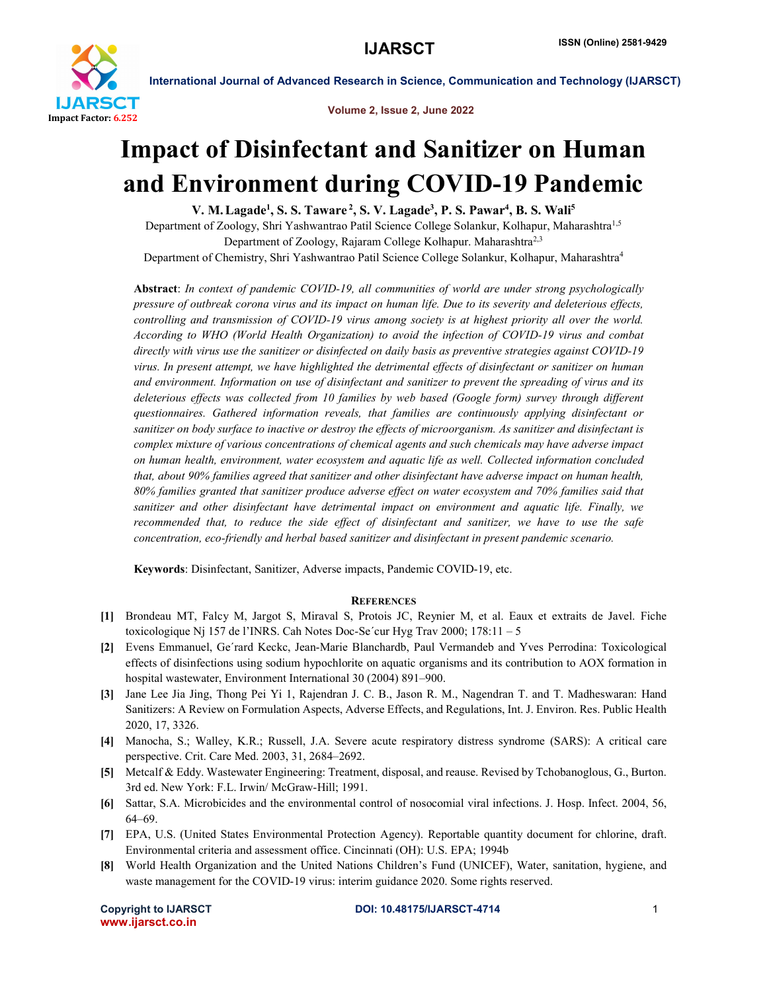

International Journal of Advanced Research in Science, Communication and Technology (IJARSCT)

Volume 2, Issue 2, June 2022

## Impact of Disinfectant and Sanitizer on Human and Environment during COVID-19 Pandemic

V. M. Lagade<sup>1</sup>, S. S. Taware <sup>2</sup>, S. V. Lagade<sup>3</sup>, P. S. Pawar<sup>4</sup>, B. S. Wali<sup>5</sup>

Department of Zoology, Shri Yashwantrao Patil Science College Solankur, Kolhapur, Maharashtra1,5 Department of Zoology, Rajaram College Kolhapur. Maharashtra<sup>2,3</sup> Department of Chemistry, Shri Yashwantrao Patil Science College Solankur, Kolhapur, Maharashtra4

Abstract: *In context of pandemic COVID-19, all communities of world are under strong psychologically pressure of outbreak corona virus and its impact on human life. Due to its severity and deleterious effects, controlling and transmission of COVID-19 virus among society is at highest priority all over the world. According to WHO (World Health Organization) to avoid the infection of COVID-19 virus and combat directly with virus use the sanitizer or disinfected on daily basis as preventive strategies against COVID-19 virus. In present attempt, we have highlighted the detrimental effects of disinfectant or sanitizer on human and environment. Information on use of disinfectant and sanitizer to prevent the spreading of virus and its deleterious effects was collected from 10 families by web based (Google form) survey through different questionnaires. Gathered information reveals, that families are continuously applying disinfectant or sanitizer on body surface to inactive or destroy the effects of microorganism. As sanitizer and disinfectant is complex mixture of various concentrations of chemical agents and such chemicals may have adverse impact on human health, environment, water ecosystem and aquatic life as well. Collected information concluded that, about 90% families agreed that sanitizer and other disinfectant have adverse impact on human health, 80% families granted that sanitizer produce adverse effect on water ecosystem and 70% families said that sanitizer and other disinfectant have detrimental impact on environment and aquatic life. Finally, we recommended that, to reduce the side effect of disinfectant and sanitizer, we have to use the safe concentration, eco-friendly and herbal based sanitizer and disinfectant in present pandemic scenario.*

Keywords: Disinfectant, Sanitizer, Adverse impacts, Pandemic COVID-19, etc.

## **REFERENCES**

- [1] Brondeau MT, Falcy M, Jargot S, Miraval S, Protois JC, Reynier M, et al. Eaux et extraits de Javel. Fiche toxicologique Nj 157 de l'INRS. Cah Notes Doc-Se´cur Hyg Trav 2000; 178:11 – 5
- [2] Evens Emmanuel, Ge´rard Keckc, Jean-Marie Blanchardb, Paul Vermandeb and Yves Perrodina: Toxicological effects of disinfections using sodium hypochlorite on aquatic organisms and its contribution to AOX formation in hospital wastewater, Environment International 30 (2004) 891–900.
- [3] Jane Lee Jia Jing, Thong Pei Yi 1, Rajendran J. C. B., Jason R. M., Nagendran T. and T. Madheswaran: Hand Sanitizers: A Review on Formulation Aspects, Adverse Effects, and Regulations, Int. J. Environ. Res. Public Health 2020, 17, 3326.
- [4] Manocha, S.; Walley, K.R.; Russell, J.A. Severe acute respiratory distress syndrome (SARS): A critical care perspective. Crit. Care Med. 2003, 31, 2684–2692.
- [5] Metcalf & Eddy. Wastewater Engineering: Treatment, disposal, and reause. Revised by Tchobanoglous, G., Burton. 3rd ed. New York: F.L. Irwin/ McGraw-Hill; 1991.
- [6] Sattar, S.A. Microbicides and the environmental control of nosocomial viral infections. J. Hosp. Infect. 2004, 56, 64–69.
- [7] EPA, U.S. (United States Environmental Protection Agency). Reportable quantity document for chlorine, draft. Environmental criteria and assessment office. Cincinnati (OH): U.S. EPA; 1994b
- [8] World Health Organization and the United Nations Children's Fund (UNICEF), Water, sanitation, hygiene, and waste management for the COVID-19 virus: interim guidance 2020. Some rights reserved.

www.ijarsct.co.in